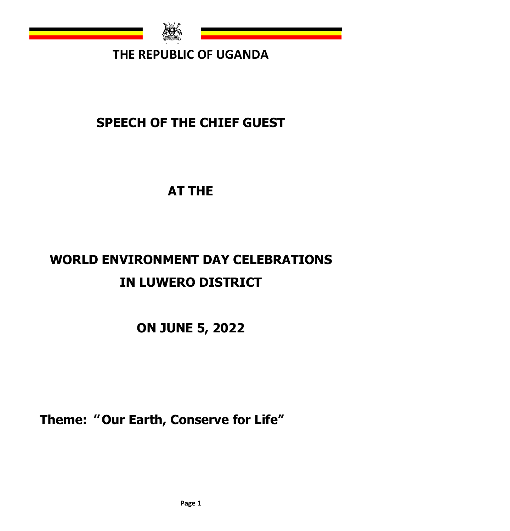

# **THE REPUBLIC OF UGANDA**

# **SPEECH OF THE CHIEF GUEST**

# **AT THE**

# **WORLD ENVIRONMENT DAY CELEBRATIONS IN LUWERO DISTRICT**

**ON JUNE 5, 2022**

**Theme: '' Our Earth, Conserve for Life"**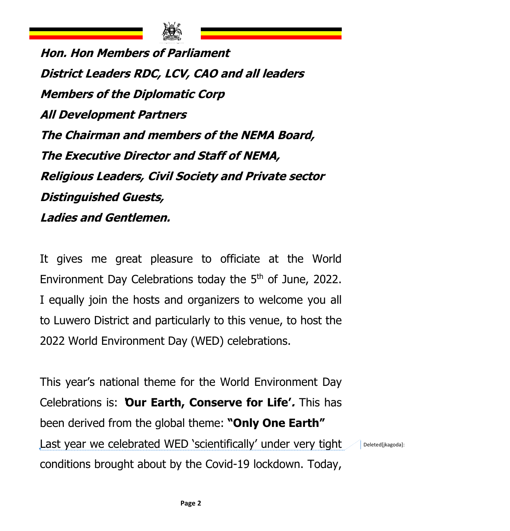

**Hon. Hon Members of Parliament District Leaders RDC, LCV, CAO and all leaders Members of the Diplomatic Corp All Development Partners The Chairman and members of the NEMA Board, The Executive Director and Staff of NEMA, Religious Leaders, Civil Society and Private sector Distinguished Guests, Ladies and Gentlemen.**

It gives me great pleasure to officiate at the World Environment Day Celebrations today the 5<sup>th</sup> of June, 2022. I equally join the hosts and organizers to welcome you all to Luwero District and particularly to this venue, to host the 2022 World Environment Day (WED) celebrations.

This year's national theme for the World Environment Day Celebrations is: **'Our Earth, Conserve for Life'.** This has been derived from the global theme: **"Only One Earth"** Last year we celebrated WED 'scientifically' under very tight conditions brought about by the Covid-19 lockdown. Today, Deleted[jkagoda]: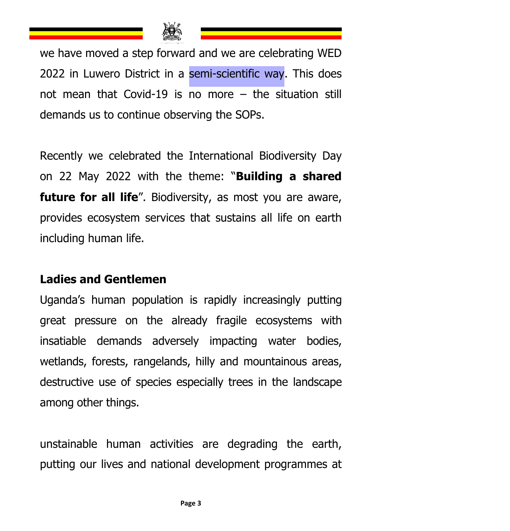

we have moved a step forward and we are celebrating WED 2022 in Luwero District in a semi-scientific way. This does not mean that Covid-19 is no more – the situation still demands us to continue observing the SOPs.

Recently we celebrated the International Biodiversity Day on 22 May 2022 with the theme: "**Building a shared future for all life**". Biodiversity, as most you are aware, provides ecosystem services that sustains all life on earth including human life.

#### **Ladies and Gentlemen**

Uganda's human population is rapidly increasingly putting great pressure on the already fragile ecosystems with insatiable demands adversely impacting water bodies, wetlands, forests, rangelands, hilly and mountainous areas, destructive use of species especially trees in the landscape among other things.

unstainable human activities are degrading the earth, putting our lives and national development programmes at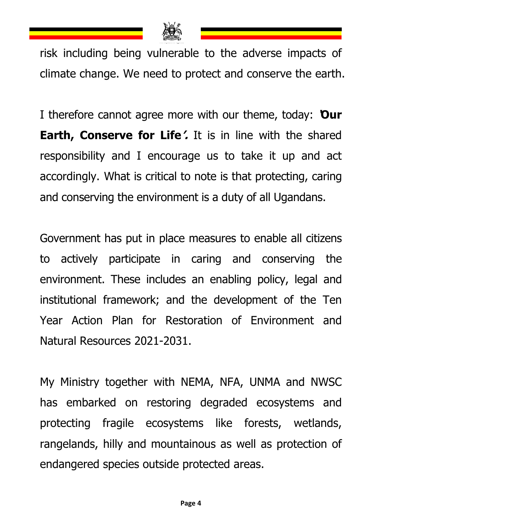

risk including being vulnerable to the adverse impacts of climate change. We need to protect and conserve the earth.

I therefore cannot agree more with our theme, today: **'Our Earth, Conserve for Life'.** It is in line with the shared responsibility and I encourage us to take it up and act accordingly. What is critical to note is that protecting, caring and conserving the environment is a duty of all Ugandans.

Government has put in place measures to enable all citizens to actively participate in caring and conserving the environment. These includes an enabling policy, legal and institutional framework; and the development of the Ten Year Action Plan for Restoration of Environment and Natural Resources 2021-2031.

My Ministry together with NEMA, NFA, UNMA and NWSC has embarked on restoring degraded ecosystems and protecting fragile ecosystems like forests, wetlands, rangelands, hilly and mountainous as well as protection of endangered species outside protected areas.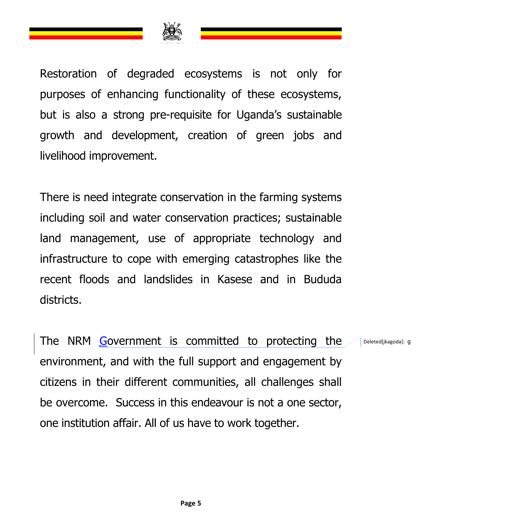

Restoration of degraded ecosystems is not only for purposes of enhancing functionality of these ecosystems, but is also a strong pre-requisite for Uganda's sustainable growth and development, creation of green jobs and livelihood improvement.

There is need integrate conservation in the farming systems including soil and water conservation practices; sustainable land management, use of appropriate technology and infrastructure to cope with emerging catastrophes like the recent floods and landslides in Kasese and in Bududa districts.

The NRM Government is committed to protecting the environment, and with the full support and engagement by citizens in their different communities, all challenges shall be overcome. Success in this endeavour is not a one sector, one institution affair. All of us have to work together. Deleted[jkagoda]: g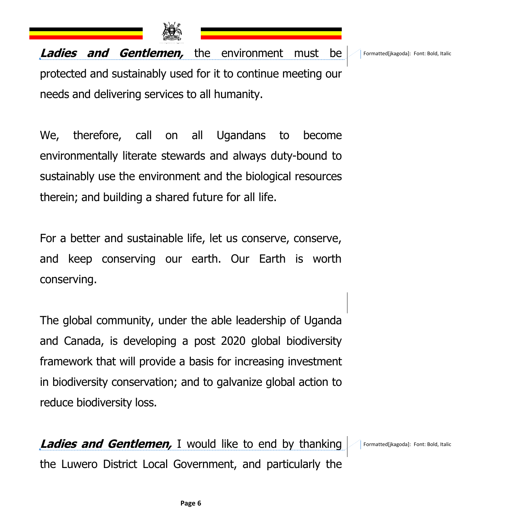

**Ladies and Gentlemen,** the environment must be protected and sustainably used for it to continue meeting our needs and delivering services to all humanity.

We, therefore, call on all Ugandans to become environmentally literate stewards and always duty-bound to sustainably use the environment and the biological resources therein; and building a shared future for all life.

For a better and sustainable life, let us conserve, conserve, and keep conserving our earth. Our Earth is worth conserving.

The global community, under the able leadership of Uganda and Canada, is developing a post 2020 global biodiversity framework that will provide a basis for increasing investment in biodiversity conservation; and to galvanize global action to reduce biodiversity loss.

**Ladies and Gentlemen,** I would like to end by thanking the Luwero District Local Government, and particularly the Formatted[jkagoda]: Font: Bold, Italic